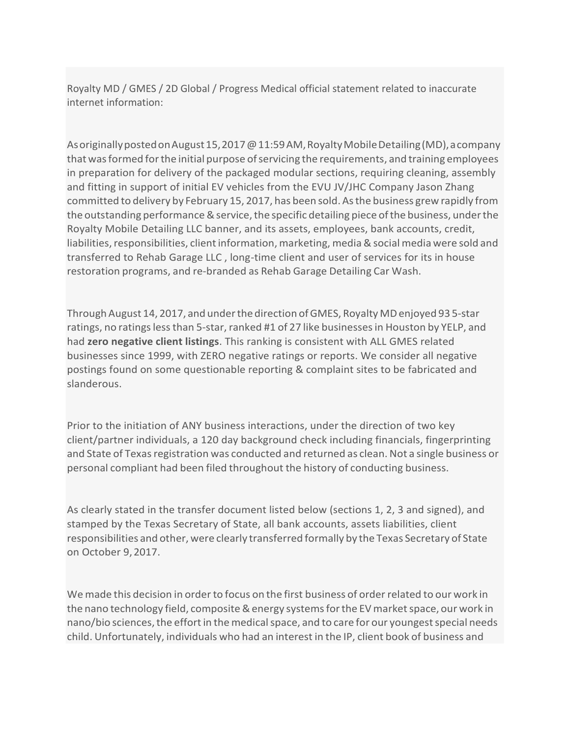Royalty MD / GMES / 2D Global / Progress Medical official statement related to inaccurate internet information:

As originally posted on August 15, 2017 @ 11:59 AM, Royalty Mobile Detailing (MD), a company that was formed for the initial purpose of servicing the requirements, and training employees in preparation for delivery of the packaged modular sections, requiring cleaning, assembly and fitting in support of initial EV vehicles from the EVU JV/JHC Company Jason Zhang committed to delivery by February 15, 2017, has been sold. Asthe business grew rapidly from the outstanding performance & service, the specific detailing piece of the business, under the Royalty Mobile Detailing LLC banner, and its assets, employees, bank accounts, credit, liabilities, responsibilities, client information, marketing, media & social media were sold and transferred to Rehab Garage LLC , long-time client and user of services for its in house restoration programs, and re-branded as Rehab Garage Detailing Car Wash.

Through August 14, 2017, and under the direction of GMES, Royalty MD enjoyed 93 5-star ratings, no ratings less than 5-star, ranked #1 of 27 like businesses in Houston by YELP, and had **zero negative client listings**. This ranking is consistent with ALL GMES related businesses since 1999, with ZERO negative ratings or reports. We consider all negative postings found on some questionable reporting & complaint sites to be fabricated and slanderous.

Prior to the initiation of ANY business interactions, under the direction of two key client/partner individuals, a 120 day background check including financials, fingerprinting and State of Texas registration was conducted and returned as clean. Not a single business or personal compliant had been filed throughout the history of conducting business.

As clearly stated in the transfer document listed below (sections 1, 2, 3 and signed), and stamped by the Texas Secretary of State, all bank accounts, assets liabilities, client responsibilities and other, were clearly transferred formally by the Texas Secretary of State on October 9,2017.

We made this decision in order to focus on the first business of order related to our work in the nano technology field, composite & energy systems for the EV market space, our work in nano/bio sciences, the effort in the medical space, and to care for our youngest special needs child. Unfortunately, individuals who had an interest in the IP, client book of business and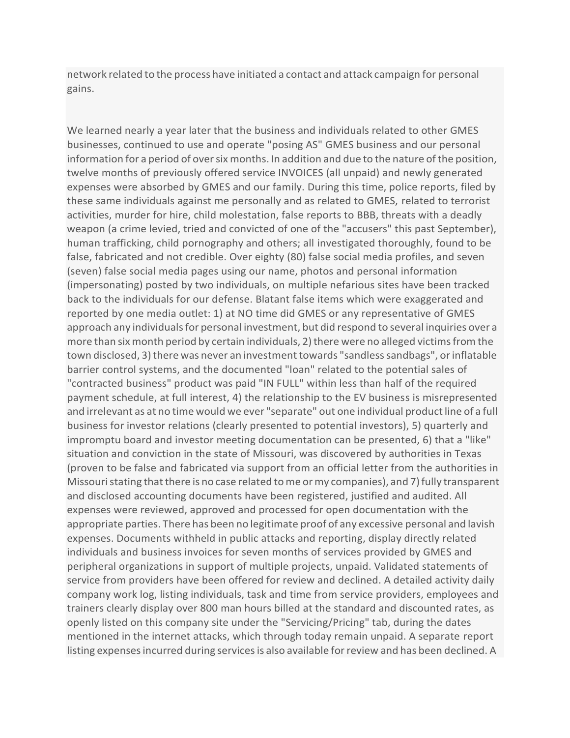network related to the process have initiated a contact and attack campaign for personal gains.

We learned nearly a year later that the business and individuals related to other GMES businesses, continued to use and operate "posing AS" GMES business and our personal information for a period of over six months. In addition and due to the nature of the position, twelve months of previously offered service INVOICES (all unpaid) and newly generated expenses were absorbed by GMES and our family. During this time, police reports, filed by these same individuals against me personally and as related to GMES, related to terrorist activities, murder for hire, child molestation, false reports to BBB, threats with a deadly weapon (a crime levied, tried and convicted of one of the "accusers" this past September), human trafficking, child pornography and others; all investigated thoroughly, found to be false, fabricated and not credible. Over eighty (80) false social media profiles, and seven (seven) false social media pages using our name, photos and personal information (impersonating) posted by two individuals, on multiple nefarious sites have been tracked back to the individuals for our defense. Blatant false items which were exaggerated and reported by one media outlet: 1) at NO time did GMES or any representative of GMES approach any individuals for personal investment, but did respond to several inquiries over a more than six month period by certain individuals, 2) there were no alleged victims from the town disclosed, 3) there was never an investment towards "sandless sandbags", or inflatable barrier control systems, and the documented "loan" related to the potential sales of "contracted business" product was paid "IN FULL" within less than half of the required payment schedule, at full interest, 4) the relationship to the EV business is misrepresented and irrelevant as at no time would we ever "separate" out one individual product line of a full business for investor relations (clearly presented to potential investors), 5) quarterly and impromptu board and investor meeting documentation can be presented, 6) that a "like" situation and conviction in the state of Missouri, was discovered by authorities in Texas (proven to be false and fabricated via support from an official letter from the authorities in Missouri stating that there is no case related to me or my companies), and 7) fully transparent and disclosed accounting documents have been registered, justified and audited. All expenses were reviewed, approved and processed for open documentation with the appropriate parties. There has been no legitimate proof of any excessive personal and lavish expenses. Documents withheld in public attacks and reporting, display directly related individuals and business invoices for seven months of services provided by GMES and peripheral organizations in support of multiple projects, unpaid. Validated statements of service from providers have been offered for review and declined. A detailed activity daily company work log, listing individuals, task and time from service providers, employees and trainers clearly display over 800 man hours billed at the standard and discounted rates, as openly listed on this company site under the "Servicing/Pricing" tab, during the dates mentioned in the internet attacks, which through today remain unpaid. A separate report listing expenses incurred during services is also available for review and has been declined. A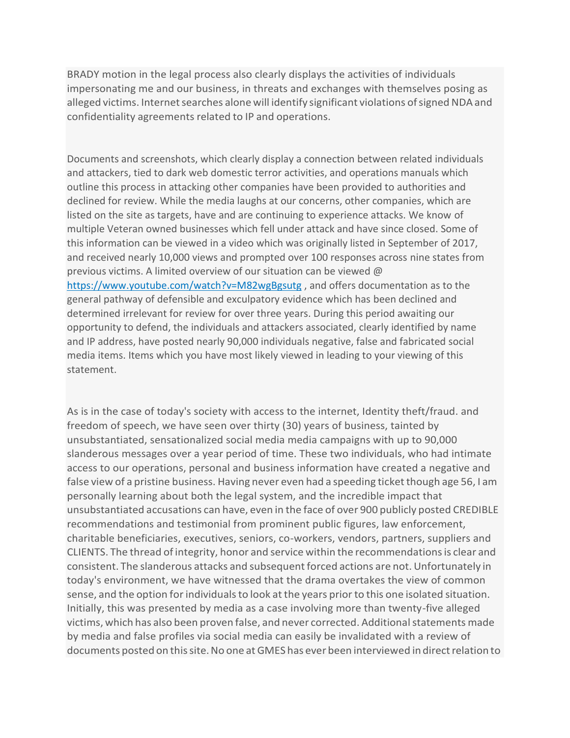BRADY motion in the legal process also clearly displays the activities of individuals impersonating me and our business, in threats and exchanges with themselves posing as alleged victims. Internet searches alone will identify significant violations of signed NDA and confidentiality agreements related to IP and operations.

Documents and screenshots, which clearly display a connection between related individuals and attackers, tied to dark web domestic terror activities, and operations manuals which outline this process in attacking other companies have been provided to authorities and declined for review. While the media laughs at our concerns, other companies, which are listed on the site as targets, have and are continuing to experience attacks. We know of multiple Veteran owned businesses which fell under attack and have since closed. Some of this information can be viewed in a video which was originally listed in September of 2017, and received nearly 10,000 views and prompted over 100 responses across nine states from previous victims. A limited overview of our situation can be viewed @ htt[ps://ww](http://www.youtube.com/watch?v=M82wgBgsutg)w[.youtube.com/watch?v=M82wgBgsutg](http://www.youtube.com/watch?v=M82wgBgsutg) , and offers documentation as to the general pathway of defensible and exculpatory evidence which has been declined and determined irrelevant for review for over three years. During this period awaiting our opportunity to defend, the individuals and attackers associated, clearly identified by name and IP address, have posted nearly 90,000 individuals negative, false and fabricated social media items. Items which you have most likely viewed in leading to your viewing of this statement.

As is in the case of today's society with access to the internet, Identity theft/fraud. and freedom of speech, we have seen over thirty (30) years of business, tainted by unsubstantiated, sensationalized social media media campaigns with up to 90,000 slanderous messages over a year period of time. These two individuals, who had intimate access to our operations, personal and business information have created a negative and false view of a pristine business. Having never even had a speeding ticket though age 56, I am personally learning about both the legal system, and the incredible impact that unsubstantiated accusations can have, even in the face of over 900 publicly posted CREDIBLE recommendations and testimonial from prominent public figures, law enforcement, charitable beneficiaries, executives, seniors, co-workers, vendors, partners, suppliers and CLIENTS. The thread of integrity, honor and service within the recommendationsis clear and consistent. The slanderous attacks and subsequentforced actions are not. Unfortunately in today's environment, we have witnessed that the drama overtakes the view of common sense, and the option for individuals to look at the years prior to this one isolated situation. Initially, this was presented by media as a case involving more than twenty-five alleged victims, which has also been proven false, and never corrected. Additional statements made by media and false profiles via social media can easily be invalidated with a review of documents posted on this site. No one at GMES has ever been interviewed in direct relation to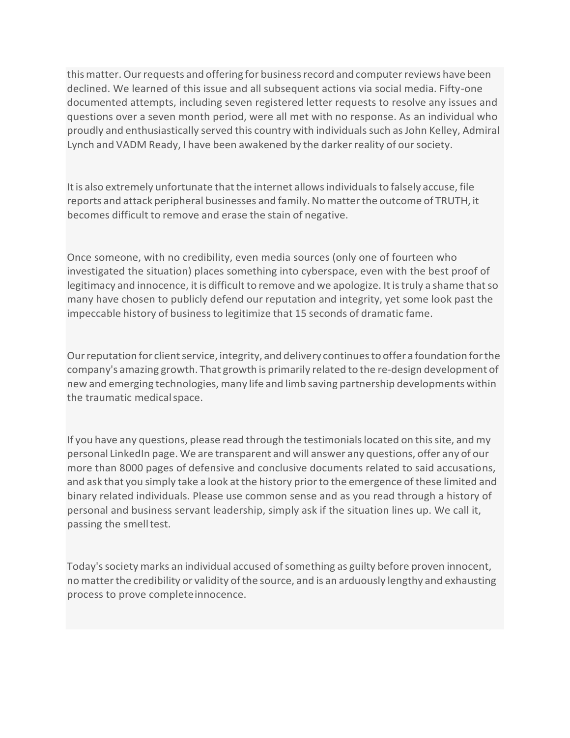this matter. Our requests and offering for business record and computer reviews have been declined. We learned of this issue and all subsequent actions via social media. Fifty-one documented attempts, including seven registered letter requests to resolve any issues and questions over a seven month period, were all met with no response. As an individual who proudly and enthusiastically served this country with individualssuch asJohn Kelley, Admiral Lynch and VADM Ready, I have been awakened by the darker reality of oursociety.

It is also extremely unfortunate that the internet allows individuals to falsely accuse, file reports and attack peripheral businesses and family.Nomatterthe outcome of TRUTH, it becomes difficult to remove and erase the stain of negative.

Once someone, with no credibility, even media sources (only one of fourteen who investigated the situation) places something into cyberspace, even with the best proof of legitimacy and innocence, it is difficult to remove and we apologize. It is truly a shame that so many have chosen to publicly defend our reputation and integrity, yet some look past the impeccable history of businessto legitimize that 15 seconds of dramatic fame.

Our reputation for client service, integrity, and delivery continues to offer a foundation for the company's amazing growth. That growth is primarily related to the re-design development of new and emerging technologies, many life and limb saving partnership developments within the traumatic medicalspace.

If you have any questions, please read through the testimonials located on this site, and my personal LinkedIn page. We are transparent and will answer any questions, offer any of our more than 8000 pages of defensive and conclusive documents related to said accusations, and ask that you simply take a look at the history prior to the emergence of these limited and binary related individuals. Please use common sense and as you read through a history of personal and business servant leadership, simply ask if the situation lines up. We call it, passing the smelltest.

Today's society marks an individual accused of something as guilty before proven innocent, no matter the credibility or validity of the source, and is an arduously lengthy and exhausting process to prove completeinnocence.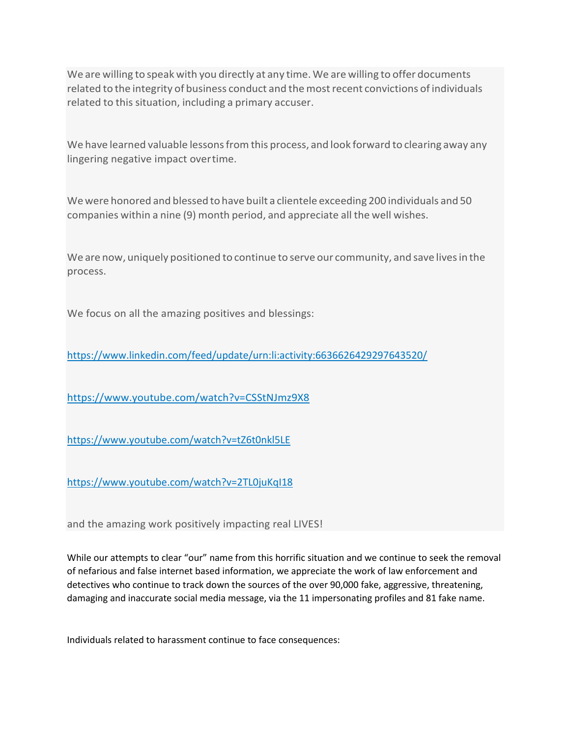We are willing to speak with you directly at any time. We are willing to offer documents related to the integrity of business conduct and themostrecent convictions of individuals related to this situation, including a primary accuser.

We have learned valuable lessons from this process, and look forward to clearing away any lingering negative impact overtime.

Wewere honored and blessed to have built a clientele exceeding 200 individuals and 50 companies within a nine (9) month period, and appreciate all the well wishes.

We are now, uniquely positioned to continue to serve our community, and save livesin the process.

We focus on all the amazing positives and blessings:

https://www.linkedin.com/feed/update/urn:li:activity:6636626429297643520/

htt[ps://ww](http://www.youtube.com/watch?v=CSStNJmz9X8)w[.youtube.com/watch?v=CSStNJmz9X8](http://www.youtube.com/watch?v=CSStNJmz9X8)

htt[ps://ww](http://www.youtube.com/watch?v=tZ6t0nkl5LE)w[.youtube.com/watch?v=tZ6t0nkl5LE](http://www.youtube.com/watch?v=tZ6t0nkl5LE)

htt[ps://ww](http://www.youtube.com/watch?v=2TL0juKqI18)w[.youtube.com/watch?v=2TL0juKqI18](http://www.youtube.com/watch?v=2TL0juKqI18)

and the amazing work positively impacting real LIVES!

While our attempts to clear "our" name from this horrific situation and we continue to seek the removal of nefarious and false internet based information, we appreciate the work of law enforcement and detectives who continue to track down the sources of the over 90,000 fake, aggressive, threatening, damaging and inaccurate social media message, via the 11 impersonating profiles and 81 fake name.

Individuals related to harassment continue to face consequences: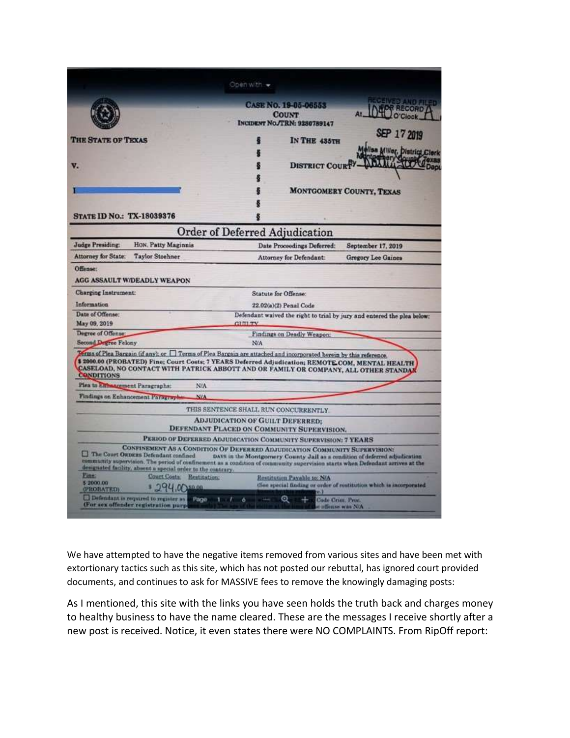| <b>CASE No. 19-05-06553</b><br><b>RECORD</b><br><b>COUNT</b><br>INCIDENT NO./TRN: 9280789147<br>SEP 17 2019<br>THE STATE OF TEXAS<br><b>IN THE 435TH</b><br>lsa Miller, District<br><b>DISTRICT COURT</b><br><b>MONTGOMERY COUNTY, TEXAS</b><br>Order of Deferred Adjudication<br>HON. Patty Maginnis<br>Date Proceedings Deferred:<br>September 17, 2019<br><b>Taylor Stochner</b><br>Attorney for Defendant:<br><b>Gregory Lee Gaines</b><br>Statute for Offense:<br>22.02(a)(2) Penal Code<br>Defendant waived the right to trial by jury and entered the plea below:<br><b>CITITY</b><br>Findings on Deadly Weapon:<br><b>Second Degree Felony</b><br>N/A<br>Terms of Plea Bargain (if any); or $\Box$ Terms of Plea Bargain are attached and incorporated herein by this reference.<br>\$ 2000.00 (PROBATED) Fine; Court Costs; 7 YEARS Deferred Adjudication; REMOTE COM, MENTAL HEALTH<br><b>CASELOAD, NO CONTACT WITH PATRICK ABBOTT AND OR FAMILY OR COMPANY, ALL OTHER STANDAM</b><br><b>CONDITIONS</b><br>Piea to Ellinazoement Paragraphs:<br>N/A<br>Findings on Enhancement Parsersph<br>NIA<br>THIS SENTENCE SHALL RUN CONCURRENTLY.<br><b>ADJUDICATION OF GUILT DEFERRED:</b><br>DEFENDANT PLACED ON COMMUNITY SUPERVISION.<br>PERIOD OF DEFERRED ADJUDICATION COMMUNITY SUPERVISION: 7 YEARS<br><b>CONFINEMENT AS A CONDITION OF DEFEREED ADJUDICATION COMMUNITY SUPERVISION:</b><br>The Court ORDERS Defendant confined<br>DAYS in the Montgomery County Jail as a condition of deferred adjudication<br>community supervision. The period of confinement as a condition of community supervision starts when Defendant arrives at the<br>designated facility, absent a special order to the contrary.<br>Fine:<br>Court Costs. Restitution:<br>Restitution Pavable to: N/A<br>\$2000.00<br>(See special finding or order of restitution which is incorporated<br>150.00<br>(PROBATED) |    |  | Open with $\star$ |  |
|---------------------------------------------------------------------------------------------------------------------------------------------------------------------------------------------------------------------------------------------------------------------------------------------------------------------------------------------------------------------------------------------------------------------------------------------------------------------------------------------------------------------------------------------------------------------------------------------------------------------------------------------------------------------------------------------------------------------------------------------------------------------------------------------------------------------------------------------------------------------------------------------------------------------------------------------------------------------------------------------------------------------------------------------------------------------------------------------------------------------------------------------------------------------------------------------------------------------------------------------------------------------------------------------------------------------------------------------------------------------------------------------------------------------------------------------------------------------------------------------------------------------------------------------------------------------------------------------------------------------------------------------------------------------------------------------------------------------------------------------------------------------------------------------------------------------------------------------------------------------------------------------------------|----|--|-------------------|--|
| <b>STATE ID NO.: TX-18039376</b><br>Judge Presiding:<br><b>Attorney for State:</b><br>Offense:<br>AGG ASSAULT W/DEADLY WEAPON<br><b>Charging Instrument:</b><br>Information<br>Date of Offense:<br>May 09, 2019<br>Degree of Offense                                                                                                                                                                                                                                                                                                                                                                                                                                                                                                                                                                                                                                                                                                                                                                                                                                                                                                                                                                                                                                                                                                                                                                                                                                                                                                                                                                                                                                                                                                                                                                                                                                                                    | v. |  |                   |  |
|                                                                                                                                                                                                                                                                                                                                                                                                                                                                                                                                                                                                                                                                                                                                                                                                                                                                                                                                                                                                                                                                                                                                                                                                                                                                                                                                                                                                                                                                                                                                                                                                                                                                                                                                                                                                                                                                                                         |    |  |                   |  |
|                                                                                                                                                                                                                                                                                                                                                                                                                                                                                                                                                                                                                                                                                                                                                                                                                                                                                                                                                                                                                                                                                                                                                                                                                                                                                                                                                                                                                                                                                                                                                                                                                                                                                                                                                                                                                                                                                                         |    |  |                   |  |
|                                                                                                                                                                                                                                                                                                                                                                                                                                                                                                                                                                                                                                                                                                                                                                                                                                                                                                                                                                                                                                                                                                                                                                                                                                                                                                                                                                                                                                                                                                                                                                                                                                                                                                                                                                                                                                                                                                         |    |  |                   |  |
|                                                                                                                                                                                                                                                                                                                                                                                                                                                                                                                                                                                                                                                                                                                                                                                                                                                                                                                                                                                                                                                                                                                                                                                                                                                                                                                                                                                                                                                                                                                                                                                                                                                                                                                                                                                                                                                                                                         |    |  |                   |  |
|                                                                                                                                                                                                                                                                                                                                                                                                                                                                                                                                                                                                                                                                                                                                                                                                                                                                                                                                                                                                                                                                                                                                                                                                                                                                                                                                                                                                                                                                                                                                                                                                                                                                                                                                                                                                                                                                                                         |    |  |                   |  |
|                                                                                                                                                                                                                                                                                                                                                                                                                                                                                                                                                                                                                                                                                                                                                                                                                                                                                                                                                                                                                                                                                                                                                                                                                                                                                                                                                                                                                                                                                                                                                                                                                                                                                                                                                                                                                                                                                                         |    |  |                   |  |
|                                                                                                                                                                                                                                                                                                                                                                                                                                                                                                                                                                                                                                                                                                                                                                                                                                                                                                                                                                                                                                                                                                                                                                                                                                                                                                                                                                                                                                                                                                                                                                                                                                                                                                                                                                                                                                                                                                         |    |  |                   |  |
|                                                                                                                                                                                                                                                                                                                                                                                                                                                                                                                                                                                                                                                                                                                                                                                                                                                                                                                                                                                                                                                                                                                                                                                                                                                                                                                                                                                                                                                                                                                                                                                                                                                                                                                                                                                                                                                                                                         |    |  |                   |  |
|                                                                                                                                                                                                                                                                                                                                                                                                                                                                                                                                                                                                                                                                                                                                                                                                                                                                                                                                                                                                                                                                                                                                                                                                                                                                                                                                                                                                                                                                                                                                                                                                                                                                                                                                                                                                                                                                                                         |    |  |                   |  |
|                                                                                                                                                                                                                                                                                                                                                                                                                                                                                                                                                                                                                                                                                                                                                                                                                                                                                                                                                                                                                                                                                                                                                                                                                                                                                                                                                                                                                                                                                                                                                                                                                                                                                                                                                                                                                                                                                                         |    |  |                   |  |
|                                                                                                                                                                                                                                                                                                                                                                                                                                                                                                                                                                                                                                                                                                                                                                                                                                                                                                                                                                                                                                                                                                                                                                                                                                                                                                                                                                                                                                                                                                                                                                                                                                                                                                                                                                                                                                                                                                         |    |  |                   |  |
|                                                                                                                                                                                                                                                                                                                                                                                                                                                                                                                                                                                                                                                                                                                                                                                                                                                                                                                                                                                                                                                                                                                                                                                                                                                                                                                                                                                                                                                                                                                                                                                                                                                                                                                                                                                                                                                                                                         |    |  |                   |  |
|                                                                                                                                                                                                                                                                                                                                                                                                                                                                                                                                                                                                                                                                                                                                                                                                                                                                                                                                                                                                                                                                                                                                                                                                                                                                                                                                                                                                                                                                                                                                                                                                                                                                                                                                                                                                                                                                                                         |    |  |                   |  |
|                                                                                                                                                                                                                                                                                                                                                                                                                                                                                                                                                                                                                                                                                                                                                                                                                                                                                                                                                                                                                                                                                                                                                                                                                                                                                                                                                                                                                                                                                                                                                                                                                                                                                                                                                                                                                                                                                                         |    |  |                   |  |
|                                                                                                                                                                                                                                                                                                                                                                                                                                                                                                                                                                                                                                                                                                                                                                                                                                                                                                                                                                                                                                                                                                                                                                                                                                                                                                                                                                                                                                                                                                                                                                                                                                                                                                                                                                                                                                                                                                         |    |  |                   |  |
|                                                                                                                                                                                                                                                                                                                                                                                                                                                                                                                                                                                                                                                                                                                                                                                                                                                                                                                                                                                                                                                                                                                                                                                                                                                                                                                                                                                                                                                                                                                                                                                                                                                                                                                                                                                                                                                                                                         |    |  |                   |  |
|                                                                                                                                                                                                                                                                                                                                                                                                                                                                                                                                                                                                                                                                                                                                                                                                                                                                                                                                                                                                                                                                                                                                                                                                                                                                                                                                                                                                                                                                                                                                                                                                                                                                                                                                                                                                                                                                                                         |    |  |                   |  |

We have attempted to have the negative items removed from various sites and have been met with extortionary tactics such as this site, which has not posted our rebuttal, has ignored court provided documents, and continues to ask for MASSIVE fees to remove the knowingly damaging posts:

As I mentioned, this site with the links you have seen holds the truth back and charges money to healthy business to have the name cleared. These are the messages I receive shortly after a new post is received. Notice, it even states there were NO COMPLAINTS. From RipOff report: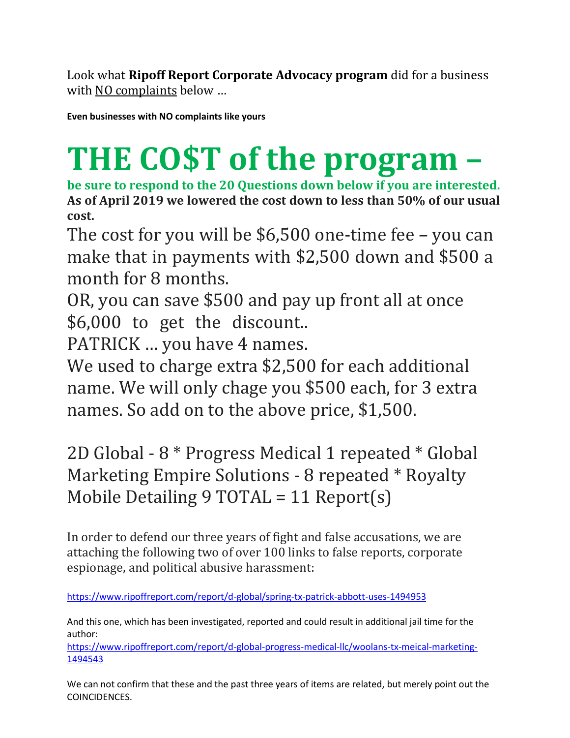Look what **Ripoff Report Corporate Advocacy program** did for a business with NO complaints below ...

**Even businesses with NO complaints like yours**

## **THE CO\$T of the program –**

**be sure to respond to the 20 Questions down below if you are interested. As of April 2019 we lowered the cost down to less than 50% of our usual cost.**

The cost for you will be \$6,500 one-time fee – you can make that in payments with \$2,500 down and \$500 a month for 8 months.

OR, you can save \$500 and pay up front all at once \$6,000 to get the discount..

PATRICK … you have 4 names.

We used to charge extra \$2,500 for each additional name. We will only chage you \$500 each, for 3 extra names. So add on to the above price, \$1,500.

2D Global - 8 \* Progress Medical 1 repeated \* Global Marketing Empire Solutions - 8 repeated \* Royalty Mobile Detailing 9 TOTAL = 11 Report(s)

In order to defend our three years of fight and false accusations, we are attaching the following two of over 100 links to false reports, corporate espionage, and political abusive harassment:

<https://www.ripoffreport.com/report/d-global/spring-tx-patrick-abbott-uses-1494953>

And this one, which has been investigated, reported and could result in additional jail time for the author:

[https://www.ripoffreport.com/report/d-global-progress-medical-llc/woolans-tx-meical-marketing-](https://www.ripoffreport.com/report/d-global-progress-medical-llc/woolans-tx-meical-marketing-1494543)[1494543](https://www.ripoffreport.com/report/d-global-progress-medical-llc/woolans-tx-meical-marketing-1494543)

We can not confirm that these and the past three years of items are related, but merely point out the COINCIDENCES.